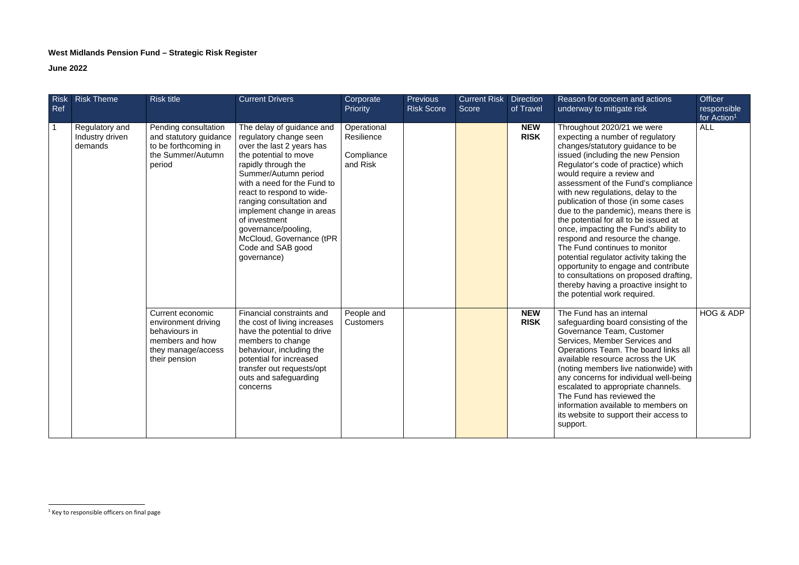## **West Midlands Pension Fund – Strategic Risk Register**

## **June 2022**

| <b>Risk</b><br>Ref | <b>Risk Theme</b>                            | <b>Risk title</b>                                                                                                  | <b>Current Drivers</b>                                                                                                                                                                                                                                                                                                                                                                | Corporate<br>Priority                               | <b>Previous</b><br><b>Risk Score</b> | <b>Current Risk</b><br><b>Score</b> | <b>Direction</b><br>of Travel | Reason for concern and actions<br>underway to mitigate risk                                                                                                                                                                                                                                                                                                                                                                                                                                                                                                                                                                                                                                                                           | <b>Officer</b><br>responsible |
|--------------------|----------------------------------------------|--------------------------------------------------------------------------------------------------------------------|---------------------------------------------------------------------------------------------------------------------------------------------------------------------------------------------------------------------------------------------------------------------------------------------------------------------------------------------------------------------------------------|-----------------------------------------------------|--------------------------------------|-------------------------------------|-------------------------------|---------------------------------------------------------------------------------------------------------------------------------------------------------------------------------------------------------------------------------------------------------------------------------------------------------------------------------------------------------------------------------------------------------------------------------------------------------------------------------------------------------------------------------------------------------------------------------------------------------------------------------------------------------------------------------------------------------------------------------------|-------------------------------|
|                    |                                              |                                                                                                                    |                                                                                                                                                                                                                                                                                                                                                                                       |                                                     |                                      |                                     |                               |                                                                                                                                                                                                                                                                                                                                                                                                                                                                                                                                                                                                                                                                                                                                       | for Action <sup>1</sup>       |
| $\overline{1}$     | Regulatory and<br>Industry driven<br>demands | Pending consultation<br>and statutory guidance<br>to be forthcoming in<br>the Summer/Autumn<br>period              | The delay of guidance and<br>regulatory change seen<br>over the last 2 years has<br>the potential to move<br>rapidly through the<br>Summer/Autumn period<br>with a need for the Fund to<br>react to respond to wide-<br>ranging consultation and<br>implement change in areas<br>of investment<br>governance/pooling,<br>McCloud, Governance (tPR<br>Code and SAB good<br>governance) | Operational<br>Resilience<br>Compliance<br>and Risk |                                      |                                     | <b>NEW</b><br><b>RISK</b>     | Throughout 2020/21 we were<br>expecting a number of regulatory<br>changes/statutory guidance to be<br>issued (including the new Pension<br>Regulator's code of practice) which<br>would require a review and<br>assessment of the Fund's compliance<br>with new regulations, delay to the<br>publication of those (in some cases<br>due to the pandemic), means there is<br>the potential for all to be issued at<br>once, impacting the Fund's ability to<br>respond and resource the change.<br>The Fund continues to monitor<br>potential regulator activity taking the<br>opportunity to engage and contribute<br>to consultations on proposed drafting,<br>thereby having a proactive insight to<br>the potential work required. | <b>ALL</b>                    |
|                    |                                              | Current economic<br>environment driving<br>behaviours in<br>members and how<br>they manage/access<br>their pension | Financial constraints and<br>the cost of living increases<br>have the potential to drive<br>members to change<br>behaviour, including the<br>potential for increased<br>transfer out requests/opt<br>outs and safeguarding<br>concerns                                                                                                                                                | People and<br>Customers                             |                                      |                                     | <b>NEW</b><br><b>RISK</b>     | The Fund has an internal<br>safeguarding board consisting of the<br>Governance Team, Customer<br>Services, Member Services and<br>Operations Team. The board links all<br>available resource across the UK<br>(noting members live nationwide) with<br>any concerns for individual well-being<br>escalated to appropriate channels.<br>The Fund has reviewed the<br>information available to members on<br>its website to support their access to<br>support.                                                                                                                                                                                                                                                                         | HOG & ADP                     |

 $<sup>1</sup>$  Key to responsible officers on final page</sup>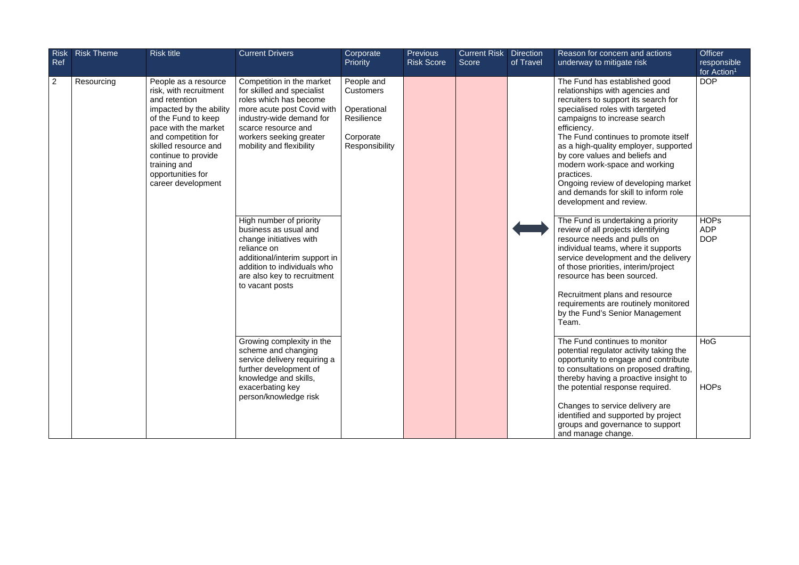| <b>Risk</b><br>Ref | <b>Risk Theme</b> | <b>Risk title</b>                                                                                                                                                                                                                                                          | <b>Current Drivers</b>                                                                                                                                                                                                    | Corporate<br>Priority                                                                      | <b>Previous</b><br><b>Risk Score</b> | <b>Current Risk</b><br>Score | <b>Direction</b><br>of Travel                                                                                                                                                                                                                                                                                                                                               | Reason for concern and actions<br>underway to mitigate risk                                                                                                                                                                                                                                                                                                                                                                                                            | <b>Officer</b><br>responsible<br>for Action <sup>1</sup> |
|--------------------|-------------------|----------------------------------------------------------------------------------------------------------------------------------------------------------------------------------------------------------------------------------------------------------------------------|---------------------------------------------------------------------------------------------------------------------------------------------------------------------------------------------------------------------------|--------------------------------------------------------------------------------------------|--------------------------------------|------------------------------|-----------------------------------------------------------------------------------------------------------------------------------------------------------------------------------------------------------------------------------------------------------------------------------------------------------------------------------------------------------------------------|------------------------------------------------------------------------------------------------------------------------------------------------------------------------------------------------------------------------------------------------------------------------------------------------------------------------------------------------------------------------------------------------------------------------------------------------------------------------|----------------------------------------------------------|
| $\overline{2}$     | Resourcing        | People as a resource<br>risk, with recruitment<br>and retention<br>impacted by the ability<br>of the Fund to keep<br>pace with the market<br>and competition for<br>skilled resource and<br>continue to provide<br>training and<br>opportunities for<br>career development | Competition in the market<br>for skilled and specialist<br>roles which has become<br>more acute post Covid with<br>industry-wide demand for<br>scarce resource and<br>workers seeking greater<br>mobility and flexibility | People and<br><b>Customers</b><br>Operational<br>Resilience<br>Corporate<br>Responsibility |                                      |                              |                                                                                                                                                                                                                                                                                                                                                                             | The Fund has established good<br>relationships with agencies and<br>recruiters to support its search for<br>specialised roles with targeted<br>campaigns to increase search<br>efficiency.<br>The Fund continues to promote itself<br>as a high-quality employer, supported<br>by core values and beliefs and<br>modern work-space and working<br>practices.<br>Ongoing review of developing market<br>and demands for skill to inform role<br>development and review. | <b>DOP</b>                                               |
|                    |                   |                                                                                                                                                                                                                                                                            | High number of priority<br>business as usual and<br>change initiatives with<br>reliance on<br>additional/interim support in<br>addition to individuals who<br>are also key to recruitment<br>to vacant posts              |                                                                                            |                                      |                              |                                                                                                                                                                                                                                                                                                                                                                             | The Fund is undertaking a priority<br>review of all projects identifying<br>resource needs and pulls on<br>individual teams, where it supports<br>service development and the delivery<br>of those priorities, interim/project<br>resource has been sourced.<br>Recruitment plans and resource<br>requirements are routinely monitored<br>by the Fund's Senior Management<br>Team.                                                                                     | <b>HOPs</b><br><b>ADP</b><br><b>DOP</b>                  |
|                    |                   | Growing complexity in the<br>scheme and changing<br>service delivery requiring a<br>further development of<br>knowledge and skills,<br>exacerbating key<br>person/knowledge risk                                                                                           |                                                                                                                                                                                                                           |                                                                                            |                                      |                              | The Fund continues to monitor<br>potential regulator activity taking the<br>opportunity to engage and contribute<br>to consultations on proposed drafting,<br>thereby having a proactive insight to<br>the potential response required.<br>Changes to service delivery are<br>identified and supported by project<br>groups and governance to support<br>and manage change. | HoG<br><b>HOPs</b>                                                                                                                                                                                                                                                                                                                                                                                                                                                     |                                                          |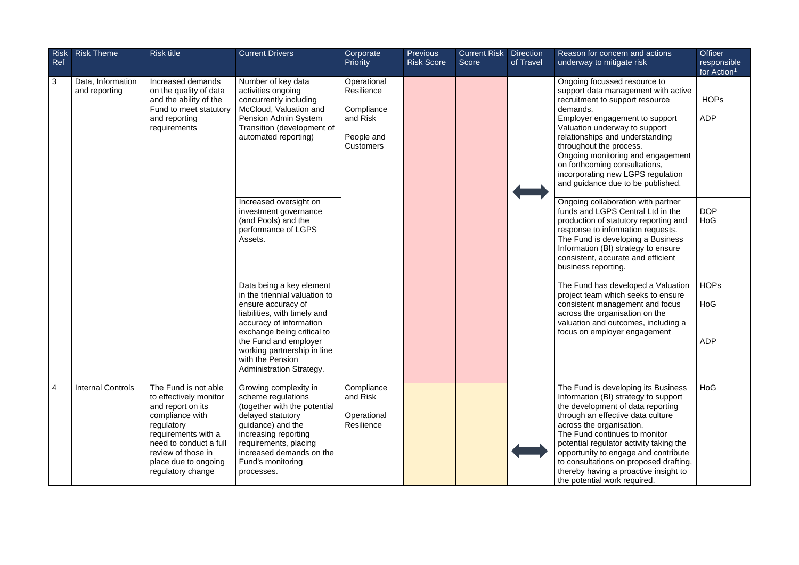| <b>Risk</b><br>Ref | <b>Risk Theme</b>                  | <b>Risk title</b>                                                                                                                                                                                                                                                                                                                                                                                   | <b>Current Drivers</b>                                                                                                                                                                                                                | Corporate<br><b>Priority</b>                                                          | <b>Previous</b><br><b>Risk Score</b> | <b>Current Risk</b><br>Score | <b>Direction</b><br>of Travel                                                                                                                                                                                                                                                                                                                                                                       | Reason for concern and actions<br>underway to mitigate risk                                                                                                                                                                                                                                                                                                                                                              | <b>Officer</b><br>responsible<br>for Action <sup>1</sup> |
|--------------------|------------------------------------|-----------------------------------------------------------------------------------------------------------------------------------------------------------------------------------------------------------------------------------------------------------------------------------------------------------------------------------------------------------------------------------------------------|---------------------------------------------------------------------------------------------------------------------------------------------------------------------------------------------------------------------------------------|---------------------------------------------------------------------------------------|--------------------------------------|------------------------------|-----------------------------------------------------------------------------------------------------------------------------------------------------------------------------------------------------------------------------------------------------------------------------------------------------------------------------------------------------------------------------------------------------|--------------------------------------------------------------------------------------------------------------------------------------------------------------------------------------------------------------------------------------------------------------------------------------------------------------------------------------------------------------------------------------------------------------------------|----------------------------------------------------------|
| $\mathfrak{B}$     | Data, Information<br>and reporting | Increased demands<br>on the quality of data<br>and the ability of the<br>Fund to meet statutory<br>and reporting<br>requirements                                                                                                                                                                                                                                                                    | Number of key data<br>activities ongoing<br>concurrently including<br>McCloud, Valuation and<br>Pension Admin System<br>Transition (development of<br>automated reporting)                                                            | Operational<br>Resilience<br>Compliance<br>and Risk<br>People and<br><b>Customers</b> |                                      |                              | Ongoing focussed resource to<br>support data management with active<br>recruitment to support resource<br>demands.<br>Employer engagement to support<br>Valuation underway to support<br>relationships and understanding<br>throughout the process.<br>Ongoing monitoring and engagement<br>on forthcoming consultations,<br>incorporating new LGPS regulation<br>and guidance due to be published. |                                                                                                                                                                                                                                                                                                                                                                                                                          | <b>HOPs</b><br><b>ADP</b>                                |
|                    |                                    | Increased oversight on<br>investment governance<br>(and Pools) and the<br>performance of LGPS<br>Assets.<br>Data being a key element<br>in the triennial valuation to<br>ensure accuracy of<br>liabilities, with timely and<br>accuracy of information<br>exchange being critical to<br>the Fund and employer<br>working partnership in line<br>with the Pension<br><b>Administration Strategy.</b> |                                                                                                                                                                                                                                       |                                                                                       |                                      |                              |                                                                                                                                                                                                                                                                                                                                                                                                     | Ongoing collaboration with partner<br>funds and LGPS Central Ltd in the<br>production of statutory reporting and<br>response to information requests.<br>The Fund is developing a Business<br>Information (BI) strategy to ensure<br>consistent, accurate and efficient<br>business reporting.                                                                                                                           | <b>DOP</b><br>HoG                                        |
|                    |                                    |                                                                                                                                                                                                                                                                                                                                                                                                     |                                                                                                                                                                                                                                       |                                                                                       |                                      |                              | The Fund has developed a Valuation<br>project team which seeks to ensure<br>consistent management and focus<br>across the organisation on the<br>valuation and outcomes, including a<br>focus on employer engagement                                                                                                                                                                                | <b>HOPs</b><br>HoG<br><b>ADP</b>                                                                                                                                                                                                                                                                                                                                                                                         |                                                          |
| $\overline{4}$     | <b>Internal Controls</b>           | The Fund is not able<br>to effectively monitor<br>and report on its<br>compliance with<br>regulatory<br>requirements with a<br>need to conduct a full<br>review of those in<br>place due to ongoing<br>regulatory change                                                                                                                                                                            | Growing complexity in<br>scheme regulations<br>(together with the potential<br>delayed statutory<br>guidance) and the<br>increasing reporting<br>requirements, placing<br>increased demands on the<br>Fund's monitoring<br>processes. | Compliance<br>and Risk<br>Operational<br>Resilience                                   |                                      |                              |                                                                                                                                                                                                                                                                                                                                                                                                     | The Fund is developing its Business<br>Information (BI) strategy to support<br>the development of data reporting<br>through an effective data culture<br>across the organisation.<br>The Fund continues to monitor<br>potential regulator activity taking the<br>opportunity to engage and contribute<br>to consultations on proposed drafting,<br>thereby having a proactive insight to<br>the potential work required. | HoG                                                      |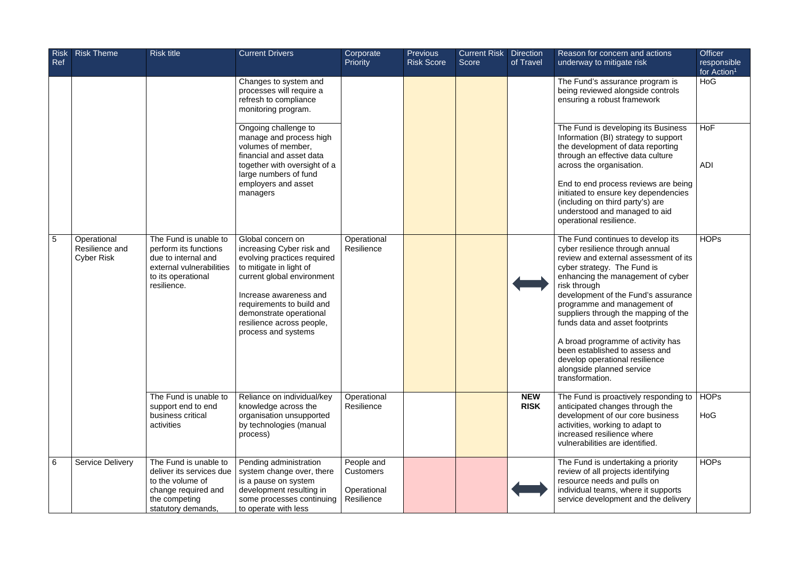| <b>Risk</b><br>Ref | <b>Risk Theme</b>                                  | <b>Risk title</b>                                                                                                                      | <b>Current Drivers</b>                                                                                                                                                                                                                                                       | Corporate<br><b>Priority</b>                                | <b>Previous</b><br><b>Risk Score</b> | <b>Current Risk</b><br><b>Score</b> | Direction<br>of Travel    | Reason for concern and actions<br>underway to mitigate risk                                                                                                                                                                                                                                                                                                                                                                                                                                                 | <b>Officer</b><br>responsible<br>for Action <sup>1</sup> |
|--------------------|----------------------------------------------------|----------------------------------------------------------------------------------------------------------------------------------------|------------------------------------------------------------------------------------------------------------------------------------------------------------------------------------------------------------------------------------------------------------------------------|-------------------------------------------------------------|--------------------------------------|-------------------------------------|---------------------------|-------------------------------------------------------------------------------------------------------------------------------------------------------------------------------------------------------------------------------------------------------------------------------------------------------------------------------------------------------------------------------------------------------------------------------------------------------------------------------------------------------------|----------------------------------------------------------|
|                    |                                                    |                                                                                                                                        | Changes to system and<br>processes will require a<br>refresh to compliance<br>monitoring program.                                                                                                                                                                            |                                                             |                                      |                                     |                           | The Fund's assurance program is<br>being reviewed alongside controls<br>ensuring a robust framework                                                                                                                                                                                                                                                                                                                                                                                                         | HoG                                                      |
|                    |                                                    |                                                                                                                                        | Ongoing challenge to<br>manage and process high<br>volumes of member,<br>financial and asset data<br>together with oversight of a                                                                                                                                            |                                                             |                                      |                                     |                           | The Fund is developing its Business<br>Information (BI) strategy to support<br>the development of data reporting<br>through an effective data culture<br>across the organisation.                                                                                                                                                                                                                                                                                                                           | <b>HoF</b><br><b>ADI</b>                                 |
|                    |                                                    |                                                                                                                                        | large numbers of fund<br>employers and asset<br>managers                                                                                                                                                                                                                     |                                                             |                                      |                                     |                           | End to end process reviews are being<br>initiated to ensure key dependencies<br>(including on third party's) are<br>understood and managed to aid<br>operational resilience.                                                                                                                                                                                                                                                                                                                                |                                                          |
| 5                  | Operational<br>Resilience and<br><b>Cyber Risk</b> | The Fund is unable to<br>perform its functions<br>due to internal and<br>external vulnerabilities<br>to its operational<br>resilience. | Global concern on<br>increasing Cyber risk and<br>evolving practices required<br>to mitigate in light of<br>current global environment<br>Increase awareness and<br>requirements to build and<br>demonstrate operational<br>resilience across people,<br>process and systems | Operational<br>Resilience                                   |                                      |                                     |                           | The Fund continues to develop its<br>cyber resilience through annual<br>review and external assessment of its<br>cyber strategy. The Fund is<br>enhancing the management of cyber<br>risk through<br>development of the Fund's assurance<br>programme and management of<br>suppliers through the mapping of the<br>funds data and asset footprints<br>A broad programme of activity has<br>been established to assess and<br>develop operational resilience<br>alongside planned service<br>transformation. | <b>HOPs</b>                                              |
|                    |                                                    | The Fund is unable to<br>support end to end<br>business critical<br>activities                                                         | Reliance on individual/key<br>knowledge across the<br>organisation unsupported<br>by technologies (manual<br>process)                                                                                                                                                        | Operational<br>Resilience                                   |                                      |                                     | <b>NEW</b><br><b>RISK</b> | The Fund is proactively responding to<br>anticipated changes through the<br>development of our core business<br>activities, working to adapt to<br>increased resilience where<br>vulnerabilities are identified.                                                                                                                                                                                                                                                                                            | <b>HOPs</b><br>HoG                                       |
| 6                  | <b>Service Delivery</b>                            | The Fund is unable to<br>deliver its services due<br>to the volume of<br>change required and<br>the competing<br>statutory demands,    | Pending administration<br>system change over, there<br>is a pause on system<br>development resulting in<br>some processes continuing<br>to operate with less                                                                                                                 | People and<br><b>Customers</b><br>Operational<br>Resilience |                                      |                                     |                           | The Fund is undertaking a priority<br>review of all projects identifying<br>resource needs and pulls on<br>individual teams, where it supports<br>service development and the delivery                                                                                                                                                                                                                                                                                                                      | <b>HOPs</b>                                              |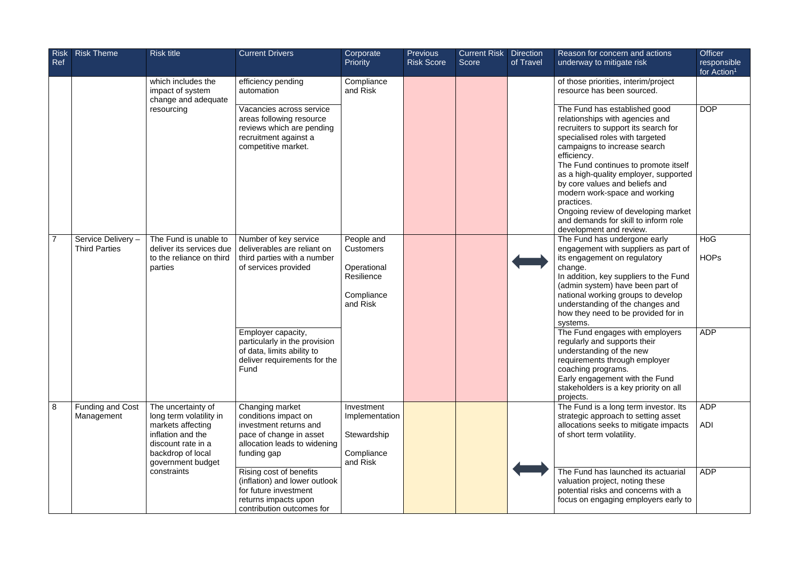| <b>Risk</b><br><b>Ref</b> | <b>Risk Theme</b>                          | <b>Risk title</b>                                                                                                                                       | <b>Current Drivers</b>                                                                                                                      | Corporate<br><b>Priority</b>                                          | <b>Previous</b><br><b>Risk Score</b> | <b>Current Risk</b><br><b>Score</b> | Direction<br>of Travel | Reason for concern and actions<br>underway to mitigate risk                                                                                                                                                                                                                                                                                                                                                                                                            | <b>Officer</b><br>responsible<br>for Action <sup>1</sup> |
|---------------------------|--------------------------------------------|---------------------------------------------------------------------------------------------------------------------------------------------------------|---------------------------------------------------------------------------------------------------------------------------------------------|-----------------------------------------------------------------------|--------------------------------------|-------------------------------------|------------------------|------------------------------------------------------------------------------------------------------------------------------------------------------------------------------------------------------------------------------------------------------------------------------------------------------------------------------------------------------------------------------------------------------------------------------------------------------------------------|----------------------------------------------------------|
|                           |                                            | which includes the<br>impact of system<br>change and adequate                                                                                           | efficiency pending<br>automation                                                                                                            | Compliance<br>and Risk                                                |                                      |                                     |                        | of those priorities, interim/project<br>resource has been sourced.                                                                                                                                                                                                                                                                                                                                                                                                     |                                                          |
|                           |                                            | resourcing                                                                                                                                              | Vacancies across service<br>areas following resource<br>reviews which are pending<br>recruitment against a<br>competitive market.           |                                                                       |                                      |                                     |                        | The Fund has established good<br>relationships with agencies and<br>recruiters to support its search for<br>specialised roles with targeted<br>campaigns to increase search<br>efficiency.<br>The Fund continues to promote itself<br>as a high-quality employer, supported<br>by core values and beliefs and<br>modern work-space and working<br>practices.<br>Ongoing review of developing market<br>and demands for skill to inform role<br>development and review. | <b>DOP</b>                                               |
|                           | Service Delivery -<br><b>Third Parties</b> | The Fund is unable to<br>deliver its services due                                                                                                       | Number of key service<br>deliverables are reliant on                                                                                        | People and<br><b>Customers</b>                                        |                                      |                                     |                        | The Fund has undergone early<br>engagement with suppliers as part of                                                                                                                                                                                                                                                                                                                                                                                                   | HoG                                                      |
|                           |                                            | to the reliance on third<br>parties                                                                                                                     | third parties with a number<br>of services provided                                                                                         | Operational<br>Resilience<br>Compliance<br>and Risk                   |                                      |                                     |                        | its engagement on regulatory<br>change.<br>In addition, key suppliers to the Fund<br>(admin system) have been part of<br>national working groups to develop<br>understanding of the changes and<br>how they need to be provided for in<br>systems.                                                                                                                                                                                                                     | <b>HOPs</b>                                              |
|                           |                                            |                                                                                                                                                         | Employer capacity,<br>particularly in the provision<br>of data, limits ability to<br>deliver requirements for the<br>Fund                   |                                                                       |                                      |                                     |                        | The Fund engages with employers<br>regularly and supports their<br>understanding of the new<br>requirements through employer<br>coaching programs.<br>Early engagement with the Fund<br>stakeholders is a key priority on all<br>projects.                                                                                                                                                                                                                             | <b>ADP</b>                                               |
| 8                         | Funding and Cost<br>Management             | The uncertainty of<br>long term volatility in<br>markets affecting<br>inflation and the<br>discount rate in a<br>backdrop of local<br>government budget | Changing market<br>conditions impact on<br>investment returns and<br>pace of change in asset<br>allocation leads to widening<br>funding gap | Investment<br>Implementation<br>Stewardship<br>Compliance<br>and Risk |                                      |                                     |                        | The Fund is a long term investor. Its<br>strategic approach to setting asset<br>allocations seeks to mitigate impacts<br>of short term volatility.                                                                                                                                                                                                                                                                                                                     | <b>ADP</b><br><b>ADI</b>                                 |
|                           |                                            | constraints                                                                                                                                             | Rising cost of benefits<br>(inflation) and lower outlook<br>for future investment<br>returns impacts upon<br>contribution outcomes for      |                                                                       |                                      |                                     |                        | The Fund has launched its actuarial<br>valuation project, noting these<br>potential risks and concerns with a<br>focus on engaging employers early to                                                                                                                                                                                                                                                                                                                  | <b>ADP</b>                                               |